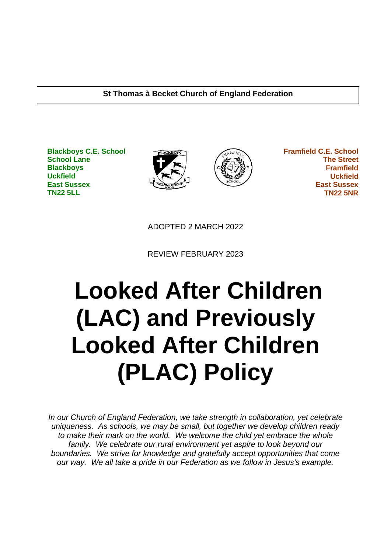#### **St Thomas à Becket Church of England Federation**

**Blackboys C.E. School School Lane Blackboys Uckfield East Sussex TN22 5LL**





 **Framfield C.E. School The Street Framfield Uckfield East Sussex TN22 5NR**

ADOPTED 2 MARCH 2022

REVIEW FEBRUARY 2023

# **Looked After Children (LAC) and Previously Looked After Children (PLAC) Policy**

*In our Church of England Federation, we take strength in collaboration, yet celebrate uniqueness. As schools, we may be small, but together we develop children ready to make their mark on the world. We welcome the child yet embrace the whole family. We celebrate our rural environment yet aspire to look beyond our boundaries. We strive for knowledge and gratefully accept opportunities that come our way. We all take a pride in our Federation as we follow in Jesus's example.*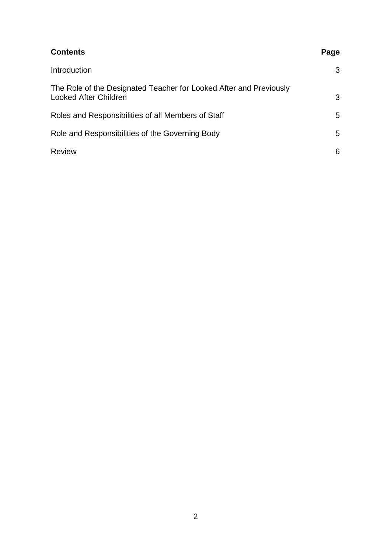# **Contents** Page Introduction 3 The Role of the Designated Teacher for Looked After and Previously Looked After Children 33 Roles and Responsibilities of all Members of Staff 5 Role and Responsibilities of the Governing Body 5 Review 6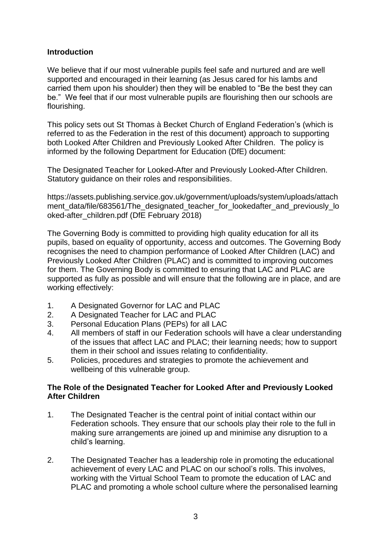## **Introduction**

We believe that if our most vulnerable pupils feel safe and nurtured and are well supported and encouraged in their learning (as Jesus cared for his lambs and carried them upon his shoulder) then they will be enabled to "Be the best they can be." We feel that if our most vulnerable pupils are flourishing then our schools are flourishing.

This policy sets out St Thomas à Becket Church of England Federation's (which is referred to as the Federation in the rest of this document) approach to supporting both Looked After Children and Previously Looked After Children. The policy is informed by the following Department for Education (DfE) document:

The Designated Teacher for Looked-After and Previously Looked-After Children. Statutory guidance on their roles and responsibilities.

https://assets.publishing.service.gov.uk/government/uploads/system/uploads/attach ment data/file/683561/The designated teacher for lookedafter and previously lo oked-after\_children.pdf (DfE February 2018)

The Governing Body is committed to providing high quality education for all its pupils, based on equality of opportunity, access and outcomes. The Governing Body recognises the need to champion performance of Looked After Children (LAC) and Previously Looked After Children (PLAC) and is committed to improving outcomes for them. The Governing Body is committed to ensuring that LAC and PLAC are supported as fully as possible and will ensure that the following are in place, and are working effectively:

- 1. A Designated Governor for LAC and PLAC
- 2. A Designated Teacher for LAC and PLAC
- 3. Personal Education Plans (PEPs) for all LAC
- 4. All members of staff in our Federation schools will have a clear understanding of the issues that affect LAC and PLAC; their learning needs; how to support them in their school and issues relating to confidentiality.
- 5. Policies, procedures and strategies to promote the achievement and wellbeing of this vulnerable group.

## **The Role of the Designated Teacher for Looked After and Previously Looked After Children**

- 1. The Designated Teacher is the central point of initial contact within our Federation schools. They ensure that our schools play their role to the full in making sure arrangements are joined up and minimise any disruption to a child's learning.
- 2. The Designated Teacher has a leadership role in promoting the educational achievement of every LAC and PLAC on our school's rolls. This involves, working with the Virtual School Team to promote the education of LAC and PLAC and promoting a whole school culture where the personalised learning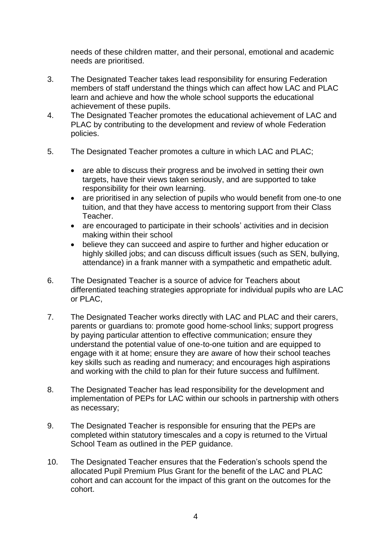needs of these children matter, and their personal, emotional and academic needs are prioritised.

- 3. The Designated Teacher takes lead responsibility for ensuring Federation members of staff understand the things which can affect how LAC and PLAC learn and achieve and how the whole school supports the educational achievement of these pupils.
- 4. The Designated Teacher promotes the educational achievement of LAC and PLAC by contributing to the development and review of whole Federation policies.
- 5. The Designated Teacher promotes a culture in which LAC and PLAC;
	- are able to discuss their progress and be involved in setting their own targets, have their views taken seriously, and are supported to take responsibility for their own learning.
	- are prioritised in any selection of pupils who would benefit from one-to one tuition, and that they have access to mentoring support from their Class Teacher.
	- are encouraged to participate in their schools' activities and in decision making within their school
	- believe they can succeed and aspire to further and higher education or highly skilled jobs; and can discuss difficult issues (such as SEN, bullying, attendance) in a frank manner with a sympathetic and empathetic adult.
- 6. The Designated Teacher is a source of advice for Teachers about differentiated teaching strategies appropriate for individual pupils who are LAC or PLAC,
- 7. The Designated Teacher works directly with LAC and PLAC and their carers, parents or guardians to: promote good home-school links; support progress by paying particular attention to effective communication; ensure they understand the potential value of one-to-one tuition and are equipped to engage with it at home; ensure they are aware of how their school teaches key skills such as reading and numeracy; and encourages high aspirations and working with the child to plan for their future success and fulfilment.
- 8. The Designated Teacher has lead responsibility for the development and implementation of PEPs for LAC within our schools in partnership with others as necessary;
- 9. The Designated Teacher is responsible for ensuring that the PEPs are completed within statutory timescales and a copy is returned to the Virtual School Team as outlined in the PEP guidance.
- 10. The Designated Teacher ensures that the Federation's schools spend the allocated Pupil Premium Plus Grant for the benefit of the LAC and PLAC cohort and can account for the impact of this grant on the outcomes for the cohort.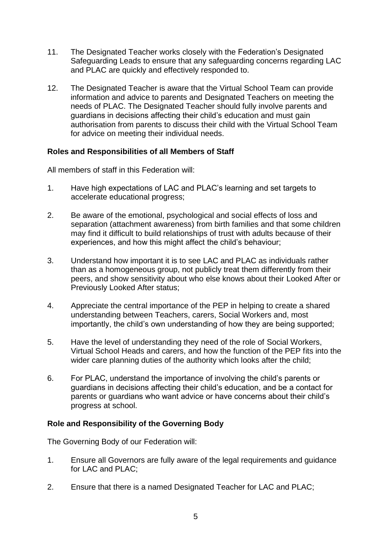- 11. The Designated Teacher works closely with the Federation's Designated Safeguarding Leads to ensure that any safeguarding concerns regarding LAC and PLAC are quickly and effectively responded to.
- 12. The Designated Teacher is aware that the Virtual School Team can provide information and advice to parents and Designated Teachers on meeting the needs of PLAC. The Designated Teacher should fully involve parents and guardians in decisions affecting their child's education and must gain authorisation from parents to discuss their child with the Virtual School Team for advice on meeting their individual needs.

## **Roles and Responsibilities of all Members of Staff**

All members of staff in this Federation will:

- 1. Have high expectations of LAC and PLAC's learning and set targets to accelerate educational progress;
- 2. Be aware of the emotional, psychological and social effects of loss and separation (attachment awareness) from birth families and that some children may find it difficult to build relationships of trust with adults because of their experiences, and how this might affect the child's behaviour;
- 3. Understand how important it is to see LAC and PLAC as individuals rather than as a homogeneous group, not publicly treat them differently from their peers, and show sensitivity about who else knows about their Looked After or Previously Looked After status;
- 4. Appreciate the central importance of the PEP in helping to create a shared understanding between Teachers, carers, Social Workers and, most importantly, the child's own understanding of how they are being supported;
- 5. Have the level of understanding they need of the role of Social Workers, Virtual School Heads and carers, and how the function of the PEP fits into the wider care planning duties of the authority which looks after the child;
- 6. For PLAC, understand the importance of involving the child's parents or guardians in decisions affecting their child's education, and be a contact for parents or guardians who want advice or have concerns about their child's progress at school.

#### **Role and Responsibility of the Governing Body**

The Governing Body of our Federation will:

- 1. Ensure all Governors are fully aware of the legal requirements and guidance for LAC and PLAC;
- 2. Ensure that there is a named Designated Teacher for LAC and PLAC;